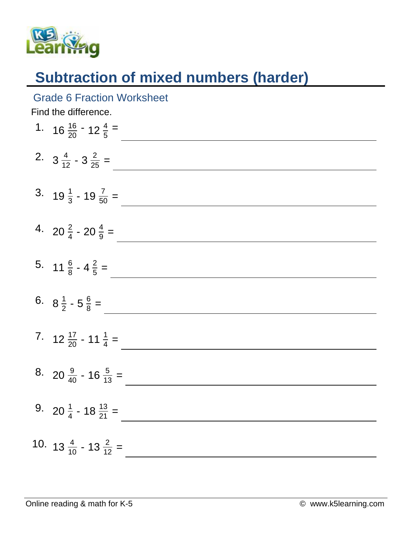

Grade 6 Fraction Worksheet

## **Subtraction of mixed numbers (harder)**

| Find the difference. |                                            |
|----------------------|--------------------------------------------|
|                      | 1. $16\frac{16}{20} - 12\frac{4}{5} =$     |
|                      | 2. $3\frac{4}{12} - 3\frac{2}{25} =$       |
|                      | 3. $19\frac{1}{3}$ - $19\frac{7}{50}$ =    |
|                      | 4. 20 $\frac{2}{4}$ - 20 $\frac{4}{9}$ =   |
|                      | 5. $11\frac{6}{8}$ - $4\frac{2}{5}$ =      |
|                      | 6. $8\frac{1}{2} - 5\frac{6}{8} =$         |
|                      | 7. $12\frac{17}{20}$ - 11 $\frac{1}{4}$ =  |
|                      | 8. 20 $\frac{9}{40}$ - 16 $\frac{5}{13}$ = |
|                      | 9. 20 $\frac{1}{4}$ - 18 $\frac{13}{21}$ = |
|                      | 10. $13\frac{4}{10}$ - $13\frac{2}{12}$ =  |